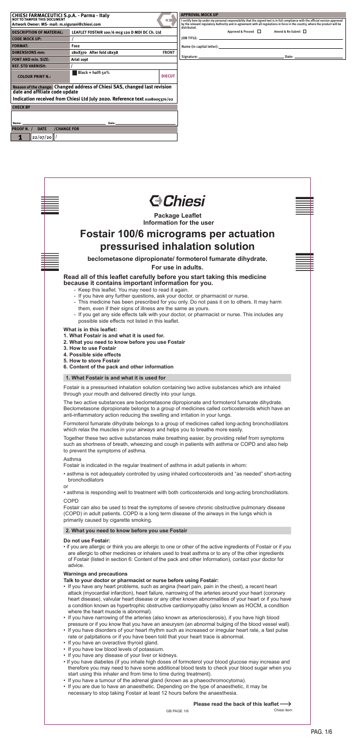BAR - CODE ZONE

BAR - CODE ZONE

- This medicine has been prescribed for you only. Do not pass it on to others. It may harm them, even if their signs of illness are the same as yours.
- If you get any side effects talk with your doctor, or pharmacist or nurse. This includes any possible side effects not listed in this leaflet.

BAR - CODE ZONE

BAR - CODE ZONE

1. What Fostair is and what it is used for<br>Fostair is a pressurised inhalation solution containing two active substances which are inhaled through your mouth and delivered directly into your lungs.

**What is in this leaflet:**

- **1. What Fostair is and what it is used for.**
- **2. What you need to know before you use Fostair**
- **3. How to use Fostair**
- **4. Possible side effects**
- **5. How to store Fostair**
- redisted the information<br>Leaf the information **6. Content of the pack and other information**

# **1. What Fostair is and what it is used for**

The two active substances are beclometasone dipropionate and formoterol fumarate dihydrate. Beclometasone dipropionate belongs to a group of medicines called corticosteroids which have an anti-inflammatory action reducing the swelling and irritation in your lungs.

Formoterol fumarate dihydrate belongs to a group of medicines called long-acting bronchodilators which relax the muscles in your airways and helps you to breathe more easily.

Together these two active substances make breathing easier, by providing relief from symptoms such as shortness of breath, wheezing and cough in patients with asthma or COPD and also help to prevent the symptoms of asthma.

# Asthma

Fostair is indicated in the regular treatment of asthma in adult patients in whom:

• asthma is not adequately controlled by using inhaled corticosteroids and "as needed" short-acting bronchodilators

or

• asthma is responding well to treatment with both corticosteroids and long-acting bronchodilators.

# COPD

Fostair can also be used to treat the symptoms of severe chronic obstructive pulmonary disease (COPD) in adult patients. COPD is a long term disease of the airways in the lungs which is primarily caused by cigarette smoking.

# **2. What you need to know before you use Fostair**



# **Do not use Fostair:**

• if you are allergic or think you are allergic to one or other of the active ingredients of Fostair or if you are allergic to other medicines or inhalers used to treat asthma or to any of the other ingredients of Fostair (listed in section 6: Content of the pack and other Information), contact your doctor for advice.

# **Warnings and precautions**

# **Talk to your doctor or pharmacist or nurse before using Fostair:**

- If you have any heart problems, such as angina (heart pain, pain in the chest), a recent heart attack (myocardial infarction), heart failure, narrowing of the arteries around your heart (coronary heart disease), valvular heart disease or any other known abnormalities of your heart or if you have a condition known as hypertrophic obstructive cardiomyopathy (also known as HOCM, a condition where the heart muscle is abnormal).
- If you have narrowing of the arteries (also known as arteriosclerosis), if you have high blood pressure or if you know that you have an aneurysm (an abnormal bulging of the blood vessel wall).
- If you have disorders of your heart rhythm such as increased or irregular heart rate, a fast pulse rate or palpitations or if you have been told that your heart trace is abnormal.
- If you have an overactive thyroid gland.
- If you have low blood levels of potassium.
- If you have any disease of your liver or kidneys.
- If you have diabetes (if you inhale high doses of formoterol your blood glucose may increase and therefore you may need to have some additional blood tests to check your blood sugar when you start using this inhaler and from time to time during treatment).
- If you have a tumour of the adrenal gland (known as a phaeochromocytoma).
- If you are due to have an anaesthetic. Depending on the type of anaesthetic, it may be necessary to stop taking Fostair at least 12 hours before the anaesthesia.

**Please read the back of this leaflet** 

GB PAGE 1/6 Chiesi item

Chiesi item

PAG. 1/6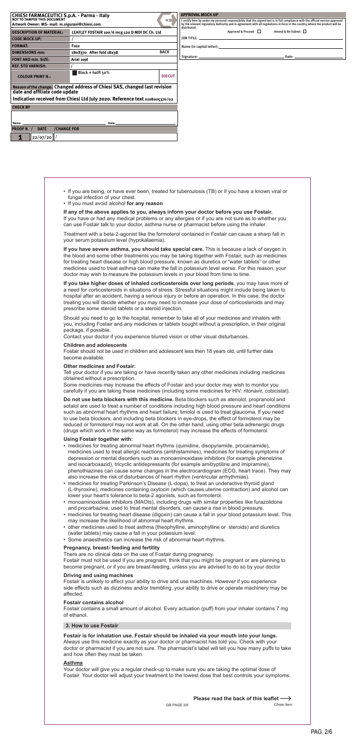- fungal infection of your chest. • If you are being, or have ever been, treated for tuberculosis (TB) or if you have a known viral or
- If you must avoid alcohol **for any reason**

can use Fostair talk to your doctor, asthma nurse or pharmacist before using the inhaler. **If any of the above applies to you, always inform your doctor before you use Fostair.**  If you have or had any medical problems or any allergies or if you are not sure as to whether you

hospital after an accident, having a serious injury or before an operation. In this case, the doctor **If you take higher doses of inhaled corticosteroids over long periods**, you may have more of a need for corticosteroids in situations of stress. Stressful situations might include being taken to treating you will decide whether you may need to increase your dose of corticosteroids and may prescribe some steroid tablets or a steroid injection.

Fostair should not be used in children and adolescent less then 18 years old, until further data<br>become available.<br>**Other medicines and Fostair:**<br> become available.

For you doctor if you are taking of have recently taken any other medicines including medicines<br>
Some medicines may increase the effects of Fostair and your doctor may wish to monitor you<br>
anafully if you are taking these carefully if you are taking these medicines (including some medicines for HIV: ritonavir, cobicistat).

Treatment with a beta-2-agonist like the formoterol contained in Fostair can cause a sharp fall in your serum potassium level (hypokalaemia).

**If you have severe asthma, you should take special care.** This is because a lack of oxygen in the blood and some other treatments you may be taking together with Fostair, such as medicines for treating heart disease or high blood pressure, known as diuretics or "water tablets" or other medicines used to treat asthma can make the fall in potassium level worse. For this reason, your doctor may wish to measure the potassium levels in your blood from time to time.

Should you need to go to the hospital, remember to take all of your medicines and inhalers with you, including Fostair and any medicines or tablets bought without a prescription, in their original package, if possible.

Contact your doctor if you experience blurred vision or other visual disturbances.

# **Children and adolescents**

# **Other medicines and Fostair:**

Tell your doctor if you are taking or have recently taken any other medicines including medicines obtained without a prescription.

**Do not use beta blockers with this medicine.** Beta blockers such as atenolol, propranolol and sotalol are used to treat a number of conditions including high blood pressure and heart conditions such as abnormal heart rhythms and heart failure; timolol is used to treat glaucoma. If you need to use beta blockers, and including beta blockers in eye-drops, the effect of formoterol may be reduced or formoterol may not work at all. On the other hand, using other beta adrenergic drugs (drugs which work in the same way as formoterol) may increase the effects of formoterol.

# **Using Fostair together with:**

Pag. 2/7 PAG. 2/6

- medicines for treating abnormal heart rhythms (quinidine, disopyramide, procainamide), medicines used to treat allergic reactions (antihistamines), medicines for treating symptoms of depression or mental disorders such as monoaminoxidase inhibitors (for example phenelzine and isocarboxazid), tricyclic antidepressants (for example amitryptiline and imipramine), phenothiazines can cause some changes in the electrocardiogram (ECG, heart trace). They may also increase the risk of disturbances of heart rhythm (ventricular arrhythmias).
- medicines for treating Parkinson's Disease (L-dopa), to treat an underactive thyroid gland (L-thyroxine), medicines containing oxytocin (which causes uterine contraction) and alcohol can lower your heart's tolerance to beta-2 agonists, such as formoterol.
- monoaminoxidase inhibitors (MAOIs), including drugs with similar properties like furazolidone and procarbazine, used to treat mental disorders, can cause a rise in blood pressure.
- medicines for treating heart disease (digoxin) can cause a fall in your blood potassium level. This may increase the likelihood of abnormal heart rhythms.
- other medicines used to treat asthma (theophylline, aminophylline or steroids) and diuretics (water tablets) may cause a fall in your potassium level.
- Some anaesthetics can increase the risk of abnormal heart rhythms.

# **Pregnancy, breast- feeding and fertility**

There are no clinical data on the use of Fostair during pregnancy.

Fostair must not be used if you are pregnant, think that you might be pregnant or are planning to become pregnant, or if you are breast-feeding, unless you are advised to do so by your doctor

# **Driving and using machines**

Fostair is unlikely to affect your ability to drive and use machines. However if you experience side effects such as dizziness and/or trembling, your ability to drive or operate machinery may be affected.

# **Fostair contains alcohol**

Fostair contains a small amount of alcohol. Every actuation (puff) from your inhaler contains 7 mg

of ethanol.

# **3. How to use Fostair**

**Fostair is for inhalation use. Fostair should be inhaled via your mouth into your lungs.** Always use this medicine exactly as your doctor or pharmacist has told you. Check with your doctor or pharmacist if you are not sure. The pharmacist's label will tell you how many puffs to take and how often they must be taken.

## **Asthma**

Your doctor will give you a regular check-up to make sure you are taking the optimal dose of Fostair. Your doctor will adjust your treatment to the lowest dose that best controls your symptoms.

| Please read the back of this leaflet $\longrightarrow$ |  |  |
|--------------------------------------------------------|--|--|
|--------------------------------------------------------|--|--|

GB PAGE 2/6 Chiesi item

Chiesi item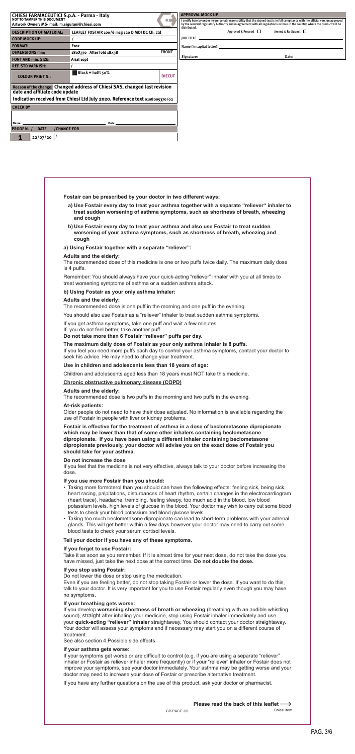- a) Use Fostair every day to treat your asthma together with a separate "reliever" inhaler to **treat sudden worsening of asthma symptoms, such as shortness of breath, wheezing and cough**
- b) Use Fostair every day to treat your asthma and also use Fostair to treat sudden **worsening of your asthma symptoms, such as shortness of breath, wheezing and cough**

#### $13.13 \times 13.13 \times 13.13 \times 13.13 \times 13.13 \times 13.13 \times 13.13 \times 13.13 \times 13.13 \times 13.13 \times 13.13 \times 13.13 \times 13.13 \times 13.13 \times 13.13 \times 13.13 \times 13.13 \times 13.13 \times 13.13 \times 13.13 \times 13.13 \times 13.13 \times 13.13 \times 13.13 \times 13.13 \times 13.13 \times 13.13 \times 13.1$ **b) Using Fostair as your only asthma inhaler:**

**Fostair can be prescribed by your doctor in two different ways:**

If you feel you need more puffs each day to control your asthma symptoms, contact your doctor to<br>seek his advice. He may need to change your treatment.<br>**Use in children and adolescents less than 18 years of age:** seek his advice. He may need to change your treatment.

# **a) Using Fostair together with a separate "reliever":**

### **Adults and the elderly:**

The recommended dose of this medicine is one or two puffs twice daily. The maximum daily dose is 4 puffs.

Remember: You should always have your quick-acting "reliever" inhaler with you at all times to treat worsening symptoms of asthma or a sudden asthma attack.

### **Adults and the elderly:**

The recommended dose is one puff in the morning and one puff in the evening.

You should also use Fostair as a "reliever" inhaler to treat sudden asthma symptoms.

If you get asthma symptoms, take one puff and wait a few minutes.

If you do not feel better, take another puff.

**Do not take more than 6 Fostair "reliever" puffs per day.**

# **The maximum daily dose of Fostair as your only asthma inhaler is 8 puffs.**

#### **Use in children and adolescents less than 18 years of age:**

Children and adolescents aged less than 18 years must NOT take this medicine.<br><u>Chronic obstructive pulmonary disease (COPD)</u><br>Adults and the elderly:

**Chronic obstructive pulmonary disease (COPD)**

#### **Adults and the elderly:**

The recommended dose is two puffs in the morning and two puffs in the evening.

#### **At-risk patients:**

Older people do not need to have their dose adjusted. No information is available regarding the use of Fostair in people with liver or kidney problems.

**Fostair is effective for the treatment of asthma in a dose of beclometasone dipropionate which may be lower than that of some other inhalers containing beclometasone dipropionate. If you have been using a different inhaler containing beclometasone dipropionate previously, your doctor will advise you on the exact dose of Fostair you should take for your asthma.** 

#### **Do not increase the dose**

If you feel that the medicine is not very effective, always talk to your doctor before increasing the dose.

#### **If you use more Fostair than you should:**

- Taking more formoterol than you should can have the following effects: feeling sick, being sick, heart racing, palpitations, disturbances of heart rhythm, certain changes in the electrocardiogram (heart trace), headache, trembling, feeling sleepy, too much acid in the blood, low blood potassium levels, high levels of glucose in the blood. Your doctor may wish to carry out some blood tests to check your blood potassium and blood glucose levels.
- Taking too much beclometasone dipropionate can lead to short-term problems with your adrenal glands. This will get better within a few days however your doctor may need to carry out some blood tests to check your serum cortisol levels.

#### **Tell your doctor if you have any of these symptoms.**

#### **If you forget to use Fostair:**

Take it as soon as you remember. If it is almost time for your next dose, do not take the dose you have missed, just take the next dose at the correct time. **Do not double the dose.**

# **If you stop using Fostair:**

Do not lower the dose or stop using the medication.

Even if you are feeling better, do not stop taking Fostair or lower the dose. If you want to do this, talk to your doctor. It is very important for you to use Fostair regularly even though you may have no symptoms.

# **If your breathing gets worse:**

If you develop **worsening shortness of breath or wheezing** (breathing with an audible whistling sound), straight after inhaling your medicine, stop using Fostair inhaler immediately and use your **quick-acting "reliever" inhaler** straightaway. You should contact your doctor straightaway. Your doctor will assess your symptoms and if necessary may start you on a different course of treatment.

See also section 4.Possible side effects

# **If your asthma gets worse:**

If your symptoms get worse or are difficult to control (e.g. if you are using a separate "reliever" inhaler or Fostair as reliever inhaler more frequently) or if your "reliever" inhaler or Fostair does not improve your symptoms, see your doctor immediately. Your asthma may be getting worse and your doctor may need to increase your dose of Fostair or prescribe alternative treatment.

If you have any further questions on the use of this product, ask your doctor or pharmacist.

**Please read the back of this leaflet** 

GB PAGE 3/6

Chiesi item

PAG. 3/6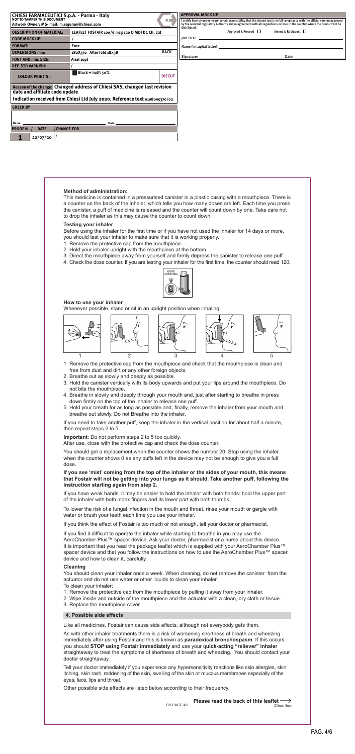# **Method of administration:**

This medicine is contained in a pressurised canister in a plastic casing with a mouthpiece. There is a counter on the back of the inhaler, which tells you how many doses are left. Each time you press the canister, a puff of medicine is released and the counter will count down by one. Take care not to drop the inhaler as this may cause the counter to count down.

- 1. Remove the protective cap from the mouthpiece and check that the mouthpiece is clean and free from dust and dirt or any other foreign objects.
- 2. Breathe out as slowly and deeply as possible.
- is possible.<br>body upwards and put y 3. Hold the canister vertically with its body upwards and put your lips around the mouthpiece. Do not bite the mouthpiece.
- 4. Breathe in slowly and deeply through your mouth and, just after starting to breathe in press down firmly on the top of the inhaler to release one puff.
- 5. Hold your breath for as long as possible and, finally, remove the inhaler from your mouth and breathe out slowly. Do not Breathe into the inhaler.

# **Testing your inhaler**

Before using the inhaler for the first time or if you have not used the inhaler for 14 days or more, you should test your inhaler to make sure that it is working properly.

- 1. Remove the protective cap from the mouthpiece
- 2. Hold your inhaler upright with the mouthpiece at the bottom
- 3. Direct the mouthpiece away from yourself and firmly depress the canister to release one puff
- 4. Check the dose counter. If you are testing your inhaler for the first time, the counter should read 120.

# **How to use your inhaler**

Whenever possible, stand or sit in an upright position when inhaling.

If you need to take another puff, keep the inhaler in the vertical position for about half a minute, then repeat steps 2 to 5.

### **Important**: Do not perform steps 2 to 5 too quickly.

After use, close with the protective cap and check the dose counter.

You should get a replacement when the counter shows the number 20. Stop using the inhaler when the counter shows 0 as any puffs left in the device may not be enough to give you a full dose.



Pag. 4/7 PAG. 4/6



**If you see 'mist' coming from the top of the inhaler or the sides of your mouth, this means that Fostair will not be getting into your lungs as it should. Take another puff, following the instruction starting again from step 2.**

If you have weak hands, it may be easier to hold the inhaler with both hands: hold the upper part of the inhaler with both index fingers and its lower part with both thumbs.

To lower the risk of a fungal infection in the mouth and throat, rinse your mouth or gargle with water or brush your teeth each time you use your inhaler.

If you think the effect of Fostair is too much or not enough, tell your doctor or pharmacist.

If you find it difficult to operate the inhaler while starting to breathe in you may use the AeroChamber Plus™ spacer device. Ask your doctor, pharmacist or a nurse about this device. It is important that you read the package leaflet which is supplied with your AeroChamber Plus™ spacer device and that you follow the instructions on how to use the AeroChamber Plus™ spacer device and how to clean it, carefully.

#### **Cleaning**

You should clean your inhaler once a week. When cleaning, do not remove the canister from the actuator and do not use water or other liquids to clean your inhaler.

- To clean your inhaler:
- 1. Remove the protective cap from the mouthpiece by pulling it away from your inhaler.
- 2. Wipe inside and outside of the mouthpiece and the actuator with a clean, dry cloth or tissue.
- 3. Replace the mouthpiece cover

#### **4. Possible side effects**

Like all medicines, Fostair can cause side effects, although not everybody gets them.

As with other inhaler treatments there is a risk of worsening shortness of breath and wheezing immediately after using Fostair and this is known as **paradoxical bronchospasm**. If this occurs you should **STOP using Fostair immediately** and use your q**uick-acting "reliever" inhaler** straightaway to treat the symptoms of shortness of breath and wheezing. You should contact your doctor straightaway.

Tell your doctor immediately if you experience any hypersensitivity reactions like skin allergies, skin itching, skin rash, reddening of the skin, swelling of the skin or mucous membranes especially of the eyes, face, lips and throat.

Other possible side effects are listed below according to their frequency.



GB PAGE 4/6

<del>.</del><br>hiesi item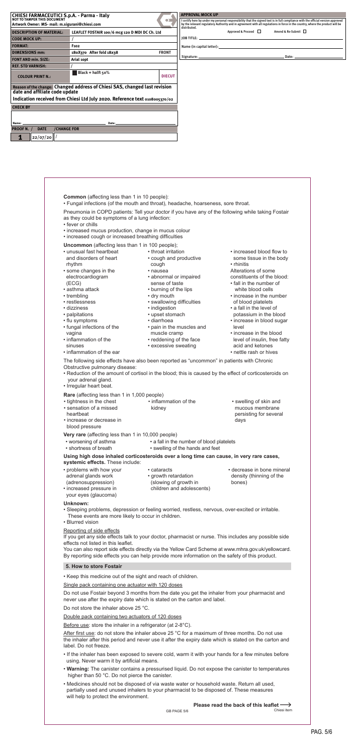Execusive swealing<br>have also been reported as "uncommon" in pat<br>sease: The following side effects have also been reported as "uncommon" in patients with Chronic Obstructive pulmonary disease:

- Reduction of the amount of cortisol in the blood; this is caused by the effect of corticosteroids on<br>your adrenal gland.<br>• Irregular heart beat. your adrenal gland.
- Irregular heart beat.

**Common** (affecting less than 1 in 10 people):

• Fungal infections (of the mouth and throat), headache, hoarseness, sore throat.

You can also report side effects directly via the Yellow Card Scheme at www.mhra.gov.uk/yellowcard. By reporting side effects you can help provide more information on the safety of this product.

Pneumonia in COPD patients: Tell your doctor if you have any of the following while taking Fostair as they could be symptoms of a lung infection:

- fever or chills
- increased mucus production, change in mucus colour
- increased cough or increased breathing difficulties

**Uncommon** (affecting less than 1 in 100 people);

**Rare** (affecting less than 1 in 1,000 people)

**Using high dose inhaled corticosteroids over a long time can cause, in very rare cases, systemic effects.** These include:

# Reporting of side effects

If you get any side effects talk to your doctor, pharmacist or nurse. This includes any possible side effects not listed in this leaflet.

# **5. How to store Fostair**

• Keep this medicine out of the sight and reach of children.

Single pack containing one actuator with 120 doses

Do not use Fostair beyond 3 months from the date you get the inhaler from your pharmacist and never use after the expiry date which is stated on the carton and label.

Do not store the inhaler above 25 °C.

#### Double pack containing two actuators of 120 doses

Before use: store the inhaler in a refrigerator (at 2-8°C).

Pag. 5/7 PAG. 5/6

After first use: do not store the inhaler above 25 °C for a maximum of three months. Do not use the inhaler after this period and never use it after the expiry date which is stated on the carton and label. Do not freeze.

- If the inhaler has been exposed to severe cold, warm it with your hands for a few minutes before using. Never warm it by artificial means.
- **Warning:** The canister contains a pressurised liquid. Do not expose the canister to temperatures higher than 50 °C. Do not pierce the canister.
- Medicines should not be disposed of via waste water or household waste. Return all used, partially used and unused inhalers to your pharmacist to be disposed of. These measures will help to protect the environment.
- your eyes (glaucoma)
- **Unknown:**
- Sleeping problems, depression or feeling worried, restless, nervous, over-excited or irritable. These events are more likely to occur in children.
- Blurred vision
- unusual fast heartbeat and disorders of heart rhythm • some changes in the
- electrocardiogram (ECG)
- asthma attack
- trembling
- restlessness
- dizziness
- palpitations
- flu symptoms
- fungal infections of the vagina
- inflammation of the sinuses
- inflammation of the ear

• throat irritation

• cough and productive

 cough • nausea • abnormal or impaired

 sense of taste • burning of the lips

- dry mouth
- 
- swallowing difficulties
- indigestion
- upset stomach
- diarrhoea
- pain in the muscles and muscle cramp
- reddening of the face
- excessive sweating
- increased blood flow to some tissue in the body • rhinitis
- Alterations of some
- constituents of the blood:
- fall in the number of white blood cells
- trembling  $\bullet$  dry mouth  $\bullet$  increase in the number of blood platelets
	- a fall in the level of
	- potassium in the blood
	- increase in blood sugar level
	- increase in the blood level of insulin, free fatty acid and ketones
	- nettle rash or hives

| • sensation of a missed<br>mucous membrane<br>kidney<br>persisting for several<br>heartbeat<br>• increase or decrease in<br>davs<br>blood pressure |  |
|----------------------------------------------------------------------------------------------------------------------------------------------------|--|
|                                                                                                                                                    |  |

**Very rare** (affecting less than 1 in 10,000 people)

- worsening of asthma • a fall in the number of blood platelets
- shortness of breath • swelling of the hands and feet

• increased pressure in

- problems with how your adrenal glands work (adrenosuppression) • cataracts (slowing of growth in
	- growth retardation
- decrease in bone mineral density (thinning of the bones)

children and adolescents)



GB PAGE 5/6

Chiesi item